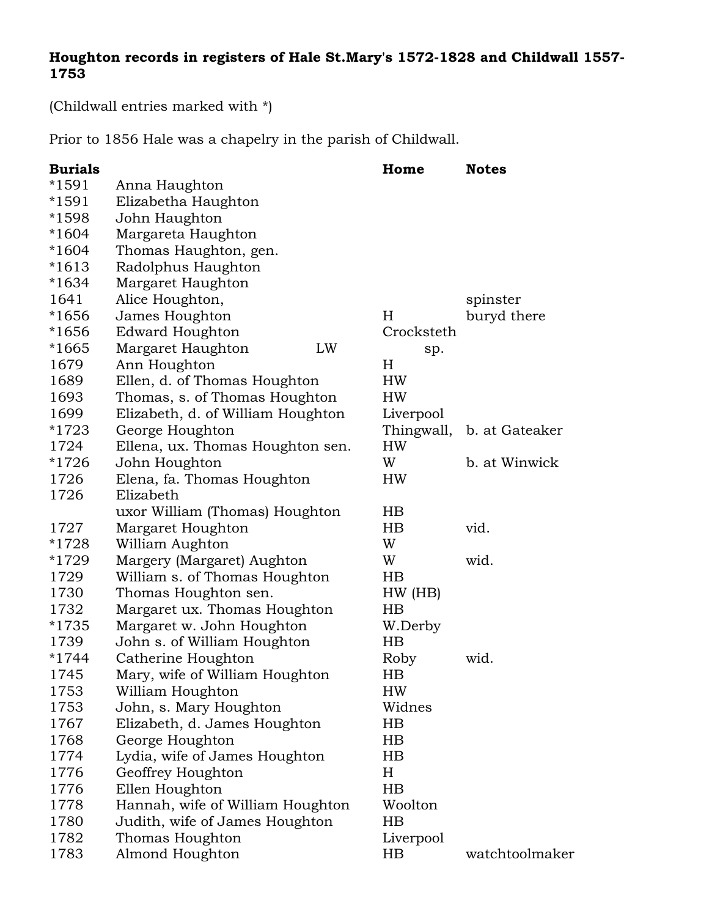## **Houghton records in registers of Hale St.Mary's 1572-1828 and Childwall 1557- 1753**

(Childwall entries marked with \*)

Prior to 1856 Hale was a chapelry in the parish of Childwall.

| <b>Burials</b> |                                   | Home        | <b>Notes</b>   |
|----------------|-----------------------------------|-------------|----------------|
| $*1591$        | Anna Haughton                     |             |                |
| *1591          | Elizabetha Haughton               |             |                |
| *1598          | John Haughton                     |             |                |
| $*1604$        | Margareta Haughton                |             |                |
| $*1604$        | Thomas Haughton, gen.             |             |                |
| $*1613$        | Radolphus Haughton                |             |                |
| $*1634$        | Margaret Haughton                 |             |                |
| 1641           | Alice Houghton,                   |             | spinster       |
| *1656          | James Houghton                    | H           | buryd there    |
| *1656          | <b>Edward Houghton</b>            | Crocksteth  |                |
| $*1665$        | Margaret Haughton<br>LW           | sp.         |                |
| 1679           | Ann Houghton                      | $H_{\rm}$   |                |
| 1689           | Ellen, d. of Thomas Houghton      | HW          |                |
| 1693           | Thomas, s. of Thomas Houghton     | HW          |                |
| 1699           | Elizabeth, d. of William Houghton | Liverpool   |                |
| *1723          | George Houghton                   | Thingwall,  | b. at Gateaker |
| 1724           | Ellena, ux. Thomas Houghton sen.  | HW          |                |
| $*1726$        | John Houghton                     | W           | b. at Winwick  |
| 1726           | Elena, fa. Thomas Houghton        | HW          |                |
| 1726           | Elizabeth                         |             |                |
|                | uxor William (Thomas) Houghton    | HB          |                |
| 1727           | Margaret Houghton                 | HB          | vid.           |
| *1728          | William Aughton                   | W           |                |
| *1729          | Margery (Margaret) Aughton        | W           | wid.           |
| 1729           | William s. of Thomas Houghton     | $_{\rm HB}$ |                |
| 1730           | Thomas Houghton sen.              | HW(HB)      |                |
| 1732           | Margaret ux. Thomas Houghton      | HB          |                |
| *1735          | Margaret w. John Houghton         | W.Derby     |                |
| 1739           | John s. of William Houghton       | HB          |                |
| $*1744$        | Catherine Houghton                | Roby        | wid.           |
| 1745           | Mary, wife of William Houghton    | HB          |                |
| 1753           | William Houghton                  | HW          |                |
| 1753           | John, s. Mary Houghton            | Widnes      |                |
| 1767           | Elizabeth, d. James Houghton      | $_{\rm HB}$ |                |
| 1768           | George Houghton                   | $_{\rm HB}$ |                |
| 1774           | Lydia, wife of James Houghton     | $_{\rm HB}$ |                |
| 1776           | Geoffrey Houghton                 | $H_{\rm}$   |                |
| 1776           | Ellen Houghton                    | HB          |                |
| 1778           | Hannah, wife of William Houghton  | Woolton     |                |
| 1780           | Judith, wife of James Houghton    | $_{\rm HB}$ |                |
| 1782           | Thomas Houghton                   | Liverpool   |                |
| 1783           | Almond Houghton                   | $_{\rm HB}$ | watchtoolmaker |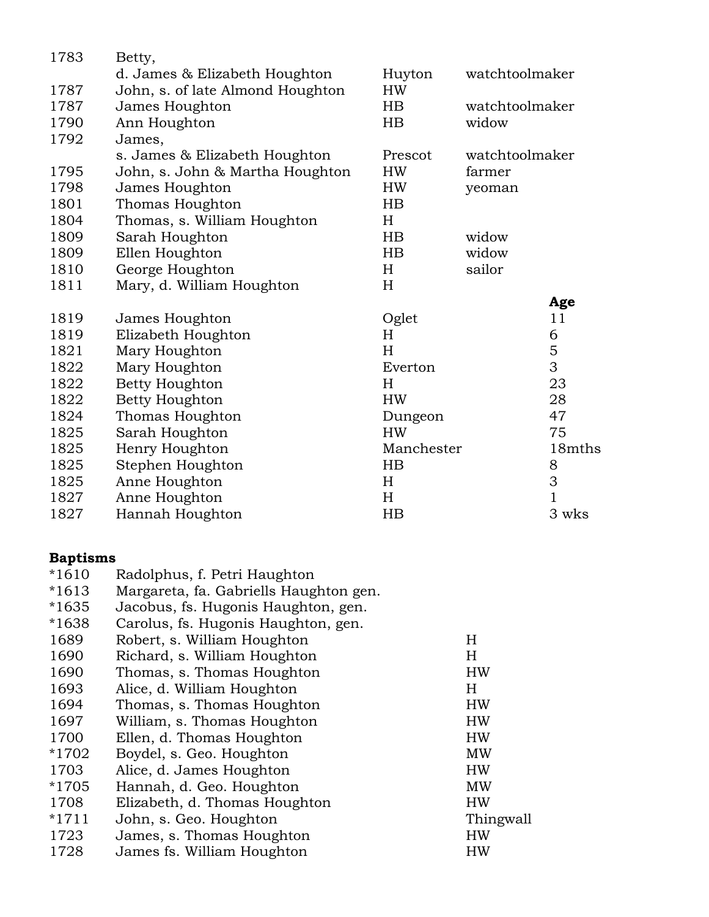| 1783 | Betty,                           |             |                |                |
|------|----------------------------------|-------------|----------------|----------------|
|      | d. James & Elizabeth Houghton    | Huyton      | watchtoolmaker |                |
| 1787 | John, s. of late Almond Houghton | HW          |                |                |
| 1787 | James Houghton                   | HB          | watchtoolmaker |                |
| 1790 | Ann Houghton                     | $_{\rm HB}$ | widow          |                |
| 1792 | James,                           |             |                |                |
|      | s. James & Elizabeth Houghton    | Prescot     | watchtoolmaker |                |
| 1795 | John, s. John & Martha Houghton  | HW          | farmer         |                |
| 1798 | James Houghton                   | HW          | yeoman         |                |
| 1801 | Thomas Houghton                  | HB          |                |                |
| 1804 | Thomas, s. William Houghton      | H           |                |                |
| 1809 | Sarah Houghton                   | $_{\rm HB}$ | widow          |                |
| 1809 | Ellen Houghton                   | HB          | widow          |                |
| 1810 | George Houghton                  | H           | sailor         |                |
| 1811 | Mary, d. William Houghton        | H           |                |                |
|      |                                  |             |                | Age            |
| 1819 | James Houghton                   | Oglet       |                | 11             |
| 1819 | Elizabeth Houghton               | H           |                | 6              |
| 1821 | Mary Houghton                    | H           |                | $\mathbf 5$    |
| 1822 | Mary Houghton                    | Everton     |                | 3              |
| 1822 | Betty Houghton                   | H           |                | 23             |
| 1822 | Betty Houghton                   | <b>HW</b>   |                | 28             |
| 1824 | Thomas Houghton                  | Dungeon     |                | 47             |
| 1825 | Sarah Houghton                   | <b>HW</b>   |                | 75             |
| 1825 | Henry Houghton                   | Manchester  |                | 18mths         |
| 1825 | Stephen Houghton                 | HB          |                | 8              |
| 1825 | Anne Houghton                    | H           |                | 3              |
| 1827 | Anne Houghton                    | H           |                | $\overline{1}$ |
| 1827 | Hannah Houghton                  | $_{\rm HB}$ |                | 3 wks          |

## **Baptisms**

| $*1610$ | Radolphus, f. Petri Haughton           |           |
|---------|----------------------------------------|-----------|
| $*1613$ | Margareta, fa. Gabriells Haughton gen. |           |
| *1635   | Jacobus, fs. Hugonis Haughton, gen.    |           |
| $*1638$ | Carolus, fs. Hugonis Haughton, gen.    |           |
| 1689    | Robert, s. William Houghton            | H         |
| 1690    | Richard, s. William Houghton           | Н         |
| 1690    | Thomas, s. Thomas Houghton             | HW        |
| 1693    | Alice, d. William Houghton             | H         |
| 1694    | Thomas, s. Thomas Houghton             | <b>HW</b> |
| 1697    | William, s. Thomas Houghton            | <b>HW</b> |
| 1700    | Ellen, d. Thomas Houghton              | <b>HW</b> |
| *1702   | Boydel, s. Geo. Houghton               | MW        |
| 1703    | Alice, d. James Houghton               | HW        |
| *1705   | Hannah, d. Geo. Houghton               | MW        |
| 1708    | Elizabeth, d. Thomas Houghton          | <b>HW</b> |
| $*1711$ | John, s. Geo. Houghton                 | Thingwall |
| 1723    | James, s. Thomas Houghton              | HW        |
| 1728    | James fs. William Houghton             | HW        |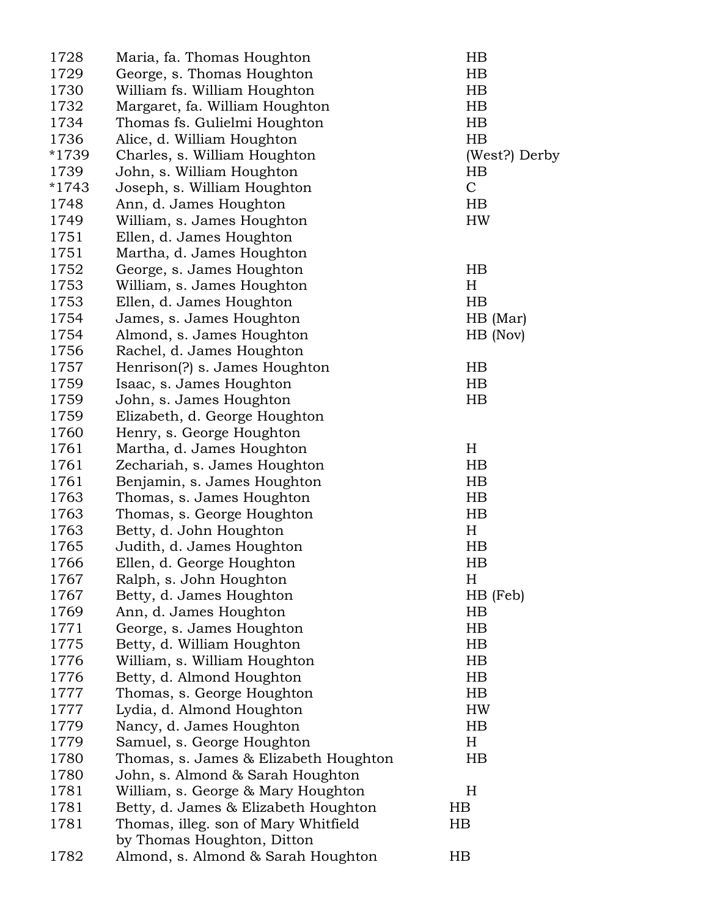| 1728         | Maria, fa. Thomas Houghton            | HB            |
|--------------|---------------------------------------|---------------|
| 1729         | George, s. Thomas Houghton            | $_{\rm HB}$   |
| 1730         | William fs. William Houghton          | HB            |
| 1732         | Margaret, fa. William Houghton        | $_{\rm HB}$   |
| 1734         | Thomas fs. Gulielmi Houghton          | $_{\rm HB}$   |
| 1736         | Alice, d. William Houghton            | HB            |
| *1739        | Charles, s. William Houghton          | (West?) Derby |
| 1739         | John, s. William Houghton             | $_{\rm HB}$   |
| $*1743$      | Joseph, s. William Houghton           | $\mathcal{C}$ |
| 1748         | Ann, d. James Houghton                | $_{\rm HB}$   |
| 1749         | William, s. James Houghton            | HW            |
| 1751         | Ellen, d. James Houghton              |               |
| 1751         | Martha, d. James Houghton             |               |
| 1752         | George, s. James Houghton             | HB            |
| 1753         | William, s. James Houghton            | H             |
| 1753         | Ellen, d. James Houghton              | $_{\rm HB}$   |
| 1754         | James, s. James Houghton              | $HB$ (Mar)    |
| 1754         | Almond, s. James Houghton             | HB (Nov)      |
| 1756         | Rachel, d. James Houghton             |               |
| 1757         | Henrison(?) s. James Houghton         | $_{\rm HB}$   |
| 1759         | Isaac, s. James Houghton              | $_{\rm HB}$   |
| 1759         | John, s. James Houghton               | $_{\rm HB}$   |
| 1759         | Elizabeth, d. George Houghton         |               |
| 1760         | Henry, s. George Houghton             |               |
| 1761         | Martha, d. James Houghton             | H             |
| 1761         | Zechariah, s. James Houghton          | HB            |
| 1761         | Benjamin, s. James Houghton           | HB            |
| 1763         | Thomas, s. James Houghton             | HB            |
| 1763         | Thomas, s. George Houghton            | $_{\rm HB}$   |
| 1763         | Betty, d. John Houghton               | H             |
| 1765         | Judith, d. James Houghton             | $_{\rm HB}$   |
| 1766         | Ellen, d. George Houghton             | $_{\rm HB}$   |
| 1767         | Ralph, s. John Houghton               | Η             |
| 1767         | Betty, d. James Houghton              | HB (Feb)      |
| 1769         | Ann, d. James Houghton                | HB            |
| 1771         | George, s. James Houghton             | HB            |
| 1775         | Betty, d. William Houghton            | $_{\rm HB}$   |
| 1776         | William, s. William Houghton          | HB            |
| 1776         | Betty, d. Almond Houghton             | HB            |
| 1777         | Thomas, s. George Houghton            | HB            |
| 1777         |                                       | HW            |
|              | Lydia, d. Almond Houghton             |               |
| 1779<br>1779 | Nancy, d. James Houghton              | HB<br>H       |
|              | Samuel, s. George Houghton            |               |
| 1780         | Thomas, s. James & Elizabeth Houghton | HB            |
| 1780         | John, s. Almond & Sarah Houghton      |               |
| 1781         | William, s. George & Mary Houghton    | $H_{\rm}$     |
| 1781         | Betty, d. James & Elizabeth Houghton  | $_{\rm HB}$   |
| 1781         | Thomas, illeg. son of Mary Whitfield  | $_{\rm HB}$   |
|              | by Thomas Houghton, Ditton            |               |
| 1782         | Almond, s. Almond & Sarah Houghton    | $_{\rm HB}$   |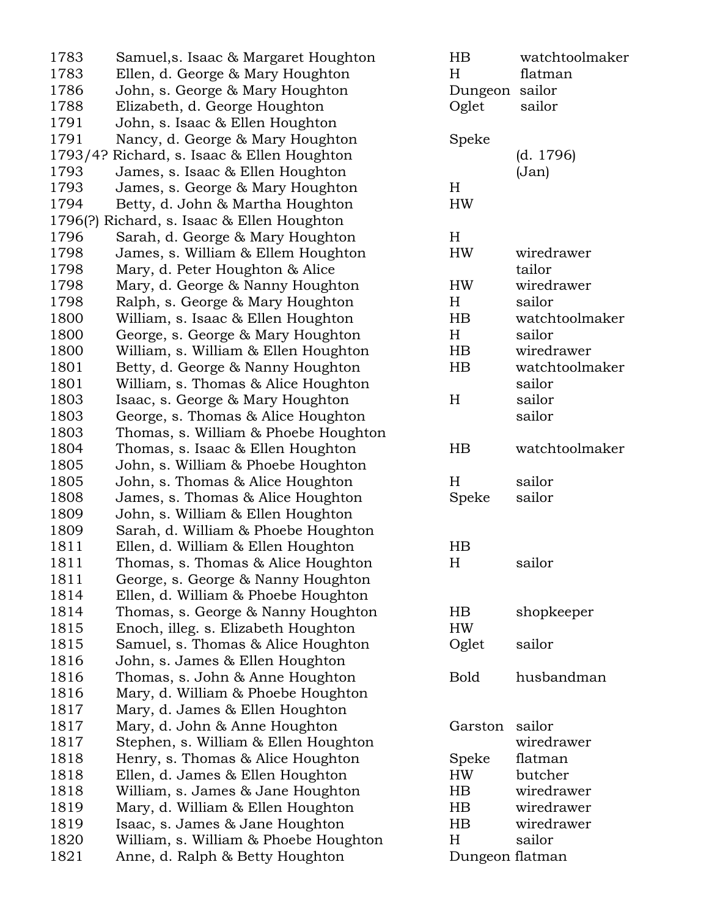| 1783<br>Ellen, d. George & Mary Houghton<br>Η<br>flatman<br>1786<br>John, s. George & Mary Houghton<br>Dungeon sailor<br>1788<br>Oglet<br>sailor<br>Elizabeth, d. George Houghton<br>1791<br>John, s. Isaac & Ellen Houghton<br>1791<br>Nancy, d. George & Mary Houghton<br>Speke<br>Richard, s. Isaac & Ellen Houghton<br>(d. 1796)<br>1793/4?<br>1793<br>James, s. Isaac & Ellen Houghton<br>(Jan)<br>1793<br>H<br>James, s. George & Mary Houghton<br>1794<br>Betty, d. John & Martha Houghton<br>HW<br>1796(?)<br>Richard, s. Isaac & Ellen Houghton<br>1796<br>Sarah, d. George & Mary Houghton<br>$H_{\rm}$<br>1798<br>James, s. William & Ellem Houghton<br>HW<br>wiredrawer<br>1798<br>Mary, d. Peter Houghton & Alice<br>tailor<br>1798<br>Mary, d. George & Nanny Houghton<br><b>HW</b><br>wiredrawer<br>1798<br>Ralph, s. George & Mary Houghton<br>sailor<br>H<br>1800<br>William, s. Isaac & Ellen Houghton<br>$_{\rm HB}$<br>watchtoolmaker<br>1800<br>$H_{\rm}$<br>sailor<br>George, s. George & Mary Houghton<br>1800<br>wiredrawer<br>William, s. William & Ellen Houghton<br>HB<br>1801<br>HB<br>watchtoolmaker<br>Betty, d. George & Nanny Houghton<br>1801<br>William, s. Thomas & Alice Houghton<br>sailor<br>1803<br>Isaac, s. George & Mary Houghton<br>$H_{\rm}$<br>sailor<br>1803<br>George, s. Thomas & Alice Houghton<br>sailor<br>1803<br>Thomas, s. William & Phoebe Houghton<br>1804<br>Thomas, s. Isaac & Ellen Houghton<br>HB<br>watchtoolmaker<br>1805<br>John, s. William & Phoebe Houghton<br>1805<br>H<br>sailor<br>John, s. Thomas & Alice Houghton<br>1808<br>Speke<br>sailor<br>James, s. Thomas & Alice Houghton<br>1809<br>John, s. William & Ellen Houghton<br>1809<br>Sarah, d. William & Phoebe Houghton<br>1811<br>Ellen, d. William & Ellen Houghton<br>$_{\rm HB}$<br>Thomas, s. Thomas & Alice Houghton<br>H<br>1811<br>sailor<br>1811<br>George, s. George & Nanny Houghton<br>1814<br>Ellen, d. William & Phoebe Houghton<br>1814<br>Thomas, s. George & Nanny Houghton<br>HB.<br>shopkeeper<br>1815<br>Enoch, illeg. s. Elizabeth Houghton<br>HW<br>1815<br>Oglet<br>sailor<br>Samuel, s. Thomas & Alice Houghton<br>1816<br>John, s. James & Ellen Houghton<br>1816<br>Thomas, s. John & Anne Houghton<br><b>Bold</b><br>husbandman<br>1816<br>Mary, d. William & Phoebe Houghton<br>1817<br>Mary, d. James & Ellen Houghton<br>1817<br>Mary, d. John & Anne Houghton<br>Garston<br>sailor<br>1817<br>Stephen, s. William & Ellen Houghton<br>wiredrawer<br>1818<br>Henry, s. Thomas & Alice Houghton<br>Speke<br>flatman<br>1818<br>Ellen, d. James & Ellen Houghton<br>butcher<br>HW<br>1818<br>$_{\rm HB}$<br>wiredrawer<br>William, s. James & Jane Houghton<br>1819<br>wiredrawer<br>Mary, d. William & Ellen Houghton<br>HB.<br>1819<br>Isaac, s. James & Jane Houghton<br>HB.<br>wiredrawer<br>1820<br>William, s. William & Phoebe Houghton<br>H<br>sailor<br>Dungeon flatman | 1783 | Samuel, s. Isaac & Margaret Houghton | HB | watchtoolmaker |
|-------------------------------------------------------------------------------------------------------------------------------------------------------------------------------------------------------------------------------------------------------------------------------------------------------------------------------------------------------------------------------------------------------------------------------------------------------------------------------------------------------------------------------------------------------------------------------------------------------------------------------------------------------------------------------------------------------------------------------------------------------------------------------------------------------------------------------------------------------------------------------------------------------------------------------------------------------------------------------------------------------------------------------------------------------------------------------------------------------------------------------------------------------------------------------------------------------------------------------------------------------------------------------------------------------------------------------------------------------------------------------------------------------------------------------------------------------------------------------------------------------------------------------------------------------------------------------------------------------------------------------------------------------------------------------------------------------------------------------------------------------------------------------------------------------------------------------------------------------------------------------------------------------------------------------------------------------------------------------------------------------------------------------------------------------------------------------------------------------------------------------------------------------------------------------------------------------------------------------------------------------------------------------------------------------------------------------------------------------------------------------------------------------------------------------------------------------------------------------------------------------------------------------------------------------------------------------------------------------------------------------------------------------------------------------------------------------------------------------------------------------------------------------------------------------------------------------------------------------------------------------------------------------------------------------------------|------|--------------------------------------|----|----------------|
|                                                                                                                                                                                                                                                                                                                                                                                                                                                                                                                                                                                                                                                                                                                                                                                                                                                                                                                                                                                                                                                                                                                                                                                                                                                                                                                                                                                                                                                                                                                                                                                                                                                                                                                                                                                                                                                                                                                                                                                                                                                                                                                                                                                                                                                                                                                                                                                                                                                                                                                                                                                                                                                                                                                                                                                                                                                                                                                                           |      |                                      |    |                |
|                                                                                                                                                                                                                                                                                                                                                                                                                                                                                                                                                                                                                                                                                                                                                                                                                                                                                                                                                                                                                                                                                                                                                                                                                                                                                                                                                                                                                                                                                                                                                                                                                                                                                                                                                                                                                                                                                                                                                                                                                                                                                                                                                                                                                                                                                                                                                                                                                                                                                                                                                                                                                                                                                                                                                                                                                                                                                                                                           |      |                                      |    |                |
|                                                                                                                                                                                                                                                                                                                                                                                                                                                                                                                                                                                                                                                                                                                                                                                                                                                                                                                                                                                                                                                                                                                                                                                                                                                                                                                                                                                                                                                                                                                                                                                                                                                                                                                                                                                                                                                                                                                                                                                                                                                                                                                                                                                                                                                                                                                                                                                                                                                                                                                                                                                                                                                                                                                                                                                                                                                                                                                                           |      |                                      |    |                |
|                                                                                                                                                                                                                                                                                                                                                                                                                                                                                                                                                                                                                                                                                                                                                                                                                                                                                                                                                                                                                                                                                                                                                                                                                                                                                                                                                                                                                                                                                                                                                                                                                                                                                                                                                                                                                                                                                                                                                                                                                                                                                                                                                                                                                                                                                                                                                                                                                                                                                                                                                                                                                                                                                                                                                                                                                                                                                                                                           |      |                                      |    |                |
|                                                                                                                                                                                                                                                                                                                                                                                                                                                                                                                                                                                                                                                                                                                                                                                                                                                                                                                                                                                                                                                                                                                                                                                                                                                                                                                                                                                                                                                                                                                                                                                                                                                                                                                                                                                                                                                                                                                                                                                                                                                                                                                                                                                                                                                                                                                                                                                                                                                                                                                                                                                                                                                                                                                                                                                                                                                                                                                                           |      |                                      |    |                |
|                                                                                                                                                                                                                                                                                                                                                                                                                                                                                                                                                                                                                                                                                                                                                                                                                                                                                                                                                                                                                                                                                                                                                                                                                                                                                                                                                                                                                                                                                                                                                                                                                                                                                                                                                                                                                                                                                                                                                                                                                                                                                                                                                                                                                                                                                                                                                                                                                                                                                                                                                                                                                                                                                                                                                                                                                                                                                                                                           |      |                                      |    |                |
|                                                                                                                                                                                                                                                                                                                                                                                                                                                                                                                                                                                                                                                                                                                                                                                                                                                                                                                                                                                                                                                                                                                                                                                                                                                                                                                                                                                                                                                                                                                                                                                                                                                                                                                                                                                                                                                                                                                                                                                                                                                                                                                                                                                                                                                                                                                                                                                                                                                                                                                                                                                                                                                                                                                                                                                                                                                                                                                                           |      |                                      |    |                |
|                                                                                                                                                                                                                                                                                                                                                                                                                                                                                                                                                                                                                                                                                                                                                                                                                                                                                                                                                                                                                                                                                                                                                                                                                                                                                                                                                                                                                                                                                                                                                                                                                                                                                                                                                                                                                                                                                                                                                                                                                                                                                                                                                                                                                                                                                                                                                                                                                                                                                                                                                                                                                                                                                                                                                                                                                                                                                                                                           |      |                                      |    |                |
|                                                                                                                                                                                                                                                                                                                                                                                                                                                                                                                                                                                                                                                                                                                                                                                                                                                                                                                                                                                                                                                                                                                                                                                                                                                                                                                                                                                                                                                                                                                                                                                                                                                                                                                                                                                                                                                                                                                                                                                                                                                                                                                                                                                                                                                                                                                                                                                                                                                                                                                                                                                                                                                                                                                                                                                                                                                                                                                                           |      |                                      |    |                |
|                                                                                                                                                                                                                                                                                                                                                                                                                                                                                                                                                                                                                                                                                                                                                                                                                                                                                                                                                                                                                                                                                                                                                                                                                                                                                                                                                                                                                                                                                                                                                                                                                                                                                                                                                                                                                                                                                                                                                                                                                                                                                                                                                                                                                                                                                                                                                                                                                                                                                                                                                                                                                                                                                                                                                                                                                                                                                                                                           |      |                                      |    |                |
|                                                                                                                                                                                                                                                                                                                                                                                                                                                                                                                                                                                                                                                                                                                                                                                                                                                                                                                                                                                                                                                                                                                                                                                                                                                                                                                                                                                                                                                                                                                                                                                                                                                                                                                                                                                                                                                                                                                                                                                                                                                                                                                                                                                                                                                                                                                                                                                                                                                                                                                                                                                                                                                                                                                                                                                                                                                                                                                                           |      |                                      |    |                |
|                                                                                                                                                                                                                                                                                                                                                                                                                                                                                                                                                                                                                                                                                                                                                                                                                                                                                                                                                                                                                                                                                                                                                                                                                                                                                                                                                                                                                                                                                                                                                                                                                                                                                                                                                                                                                                                                                                                                                                                                                                                                                                                                                                                                                                                                                                                                                                                                                                                                                                                                                                                                                                                                                                                                                                                                                                                                                                                                           |      |                                      |    |                |
|                                                                                                                                                                                                                                                                                                                                                                                                                                                                                                                                                                                                                                                                                                                                                                                                                                                                                                                                                                                                                                                                                                                                                                                                                                                                                                                                                                                                                                                                                                                                                                                                                                                                                                                                                                                                                                                                                                                                                                                                                                                                                                                                                                                                                                                                                                                                                                                                                                                                                                                                                                                                                                                                                                                                                                                                                                                                                                                                           |      |                                      |    |                |
|                                                                                                                                                                                                                                                                                                                                                                                                                                                                                                                                                                                                                                                                                                                                                                                                                                                                                                                                                                                                                                                                                                                                                                                                                                                                                                                                                                                                                                                                                                                                                                                                                                                                                                                                                                                                                                                                                                                                                                                                                                                                                                                                                                                                                                                                                                                                                                                                                                                                                                                                                                                                                                                                                                                                                                                                                                                                                                                                           |      |                                      |    |                |
|                                                                                                                                                                                                                                                                                                                                                                                                                                                                                                                                                                                                                                                                                                                                                                                                                                                                                                                                                                                                                                                                                                                                                                                                                                                                                                                                                                                                                                                                                                                                                                                                                                                                                                                                                                                                                                                                                                                                                                                                                                                                                                                                                                                                                                                                                                                                                                                                                                                                                                                                                                                                                                                                                                                                                                                                                                                                                                                                           |      |                                      |    |                |
|                                                                                                                                                                                                                                                                                                                                                                                                                                                                                                                                                                                                                                                                                                                                                                                                                                                                                                                                                                                                                                                                                                                                                                                                                                                                                                                                                                                                                                                                                                                                                                                                                                                                                                                                                                                                                                                                                                                                                                                                                                                                                                                                                                                                                                                                                                                                                                                                                                                                                                                                                                                                                                                                                                                                                                                                                                                                                                                                           |      |                                      |    |                |
|                                                                                                                                                                                                                                                                                                                                                                                                                                                                                                                                                                                                                                                                                                                                                                                                                                                                                                                                                                                                                                                                                                                                                                                                                                                                                                                                                                                                                                                                                                                                                                                                                                                                                                                                                                                                                                                                                                                                                                                                                                                                                                                                                                                                                                                                                                                                                                                                                                                                                                                                                                                                                                                                                                                                                                                                                                                                                                                                           |      |                                      |    |                |
|                                                                                                                                                                                                                                                                                                                                                                                                                                                                                                                                                                                                                                                                                                                                                                                                                                                                                                                                                                                                                                                                                                                                                                                                                                                                                                                                                                                                                                                                                                                                                                                                                                                                                                                                                                                                                                                                                                                                                                                                                                                                                                                                                                                                                                                                                                                                                                                                                                                                                                                                                                                                                                                                                                                                                                                                                                                                                                                                           |      |                                      |    |                |
|                                                                                                                                                                                                                                                                                                                                                                                                                                                                                                                                                                                                                                                                                                                                                                                                                                                                                                                                                                                                                                                                                                                                                                                                                                                                                                                                                                                                                                                                                                                                                                                                                                                                                                                                                                                                                                                                                                                                                                                                                                                                                                                                                                                                                                                                                                                                                                                                                                                                                                                                                                                                                                                                                                                                                                                                                                                                                                                                           |      |                                      |    |                |
|                                                                                                                                                                                                                                                                                                                                                                                                                                                                                                                                                                                                                                                                                                                                                                                                                                                                                                                                                                                                                                                                                                                                                                                                                                                                                                                                                                                                                                                                                                                                                                                                                                                                                                                                                                                                                                                                                                                                                                                                                                                                                                                                                                                                                                                                                                                                                                                                                                                                                                                                                                                                                                                                                                                                                                                                                                                                                                                                           |      |                                      |    |                |
|                                                                                                                                                                                                                                                                                                                                                                                                                                                                                                                                                                                                                                                                                                                                                                                                                                                                                                                                                                                                                                                                                                                                                                                                                                                                                                                                                                                                                                                                                                                                                                                                                                                                                                                                                                                                                                                                                                                                                                                                                                                                                                                                                                                                                                                                                                                                                                                                                                                                                                                                                                                                                                                                                                                                                                                                                                                                                                                                           |      |                                      |    |                |
|                                                                                                                                                                                                                                                                                                                                                                                                                                                                                                                                                                                                                                                                                                                                                                                                                                                                                                                                                                                                                                                                                                                                                                                                                                                                                                                                                                                                                                                                                                                                                                                                                                                                                                                                                                                                                                                                                                                                                                                                                                                                                                                                                                                                                                                                                                                                                                                                                                                                                                                                                                                                                                                                                                                                                                                                                                                                                                                                           |      |                                      |    |                |
|                                                                                                                                                                                                                                                                                                                                                                                                                                                                                                                                                                                                                                                                                                                                                                                                                                                                                                                                                                                                                                                                                                                                                                                                                                                                                                                                                                                                                                                                                                                                                                                                                                                                                                                                                                                                                                                                                                                                                                                                                                                                                                                                                                                                                                                                                                                                                                                                                                                                                                                                                                                                                                                                                                                                                                                                                                                                                                                                           |      |                                      |    |                |
|                                                                                                                                                                                                                                                                                                                                                                                                                                                                                                                                                                                                                                                                                                                                                                                                                                                                                                                                                                                                                                                                                                                                                                                                                                                                                                                                                                                                                                                                                                                                                                                                                                                                                                                                                                                                                                                                                                                                                                                                                                                                                                                                                                                                                                                                                                                                                                                                                                                                                                                                                                                                                                                                                                                                                                                                                                                                                                                                           |      |                                      |    |                |
|                                                                                                                                                                                                                                                                                                                                                                                                                                                                                                                                                                                                                                                                                                                                                                                                                                                                                                                                                                                                                                                                                                                                                                                                                                                                                                                                                                                                                                                                                                                                                                                                                                                                                                                                                                                                                                                                                                                                                                                                                                                                                                                                                                                                                                                                                                                                                                                                                                                                                                                                                                                                                                                                                                                                                                                                                                                                                                                                           |      |                                      |    |                |
|                                                                                                                                                                                                                                                                                                                                                                                                                                                                                                                                                                                                                                                                                                                                                                                                                                                                                                                                                                                                                                                                                                                                                                                                                                                                                                                                                                                                                                                                                                                                                                                                                                                                                                                                                                                                                                                                                                                                                                                                                                                                                                                                                                                                                                                                                                                                                                                                                                                                                                                                                                                                                                                                                                                                                                                                                                                                                                                                           |      |                                      |    |                |
|                                                                                                                                                                                                                                                                                                                                                                                                                                                                                                                                                                                                                                                                                                                                                                                                                                                                                                                                                                                                                                                                                                                                                                                                                                                                                                                                                                                                                                                                                                                                                                                                                                                                                                                                                                                                                                                                                                                                                                                                                                                                                                                                                                                                                                                                                                                                                                                                                                                                                                                                                                                                                                                                                                                                                                                                                                                                                                                                           |      |                                      |    |                |
|                                                                                                                                                                                                                                                                                                                                                                                                                                                                                                                                                                                                                                                                                                                                                                                                                                                                                                                                                                                                                                                                                                                                                                                                                                                                                                                                                                                                                                                                                                                                                                                                                                                                                                                                                                                                                                                                                                                                                                                                                                                                                                                                                                                                                                                                                                                                                                                                                                                                                                                                                                                                                                                                                                                                                                                                                                                                                                                                           |      |                                      |    |                |
|                                                                                                                                                                                                                                                                                                                                                                                                                                                                                                                                                                                                                                                                                                                                                                                                                                                                                                                                                                                                                                                                                                                                                                                                                                                                                                                                                                                                                                                                                                                                                                                                                                                                                                                                                                                                                                                                                                                                                                                                                                                                                                                                                                                                                                                                                                                                                                                                                                                                                                                                                                                                                                                                                                                                                                                                                                                                                                                                           |      |                                      |    |                |
|                                                                                                                                                                                                                                                                                                                                                                                                                                                                                                                                                                                                                                                                                                                                                                                                                                                                                                                                                                                                                                                                                                                                                                                                                                                                                                                                                                                                                                                                                                                                                                                                                                                                                                                                                                                                                                                                                                                                                                                                                                                                                                                                                                                                                                                                                                                                                                                                                                                                                                                                                                                                                                                                                                                                                                                                                                                                                                                                           |      |                                      |    |                |
|                                                                                                                                                                                                                                                                                                                                                                                                                                                                                                                                                                                                                                                                                                                                                                                                                                                                                                                                                                                                                                                                                                                                                                                                                                                                                                                                                                                                                                                                                                                                                                                                                                                                                                                                                                                                                                                                                                                                                                                                                                                                                                                                                                                                                                                                                                                                                                                                                                                                                                                                                                                                                                                                                                                                                                                                                                                                                                                                           |      |                                      |    |                |
|                                                                                                                                                                                                                                                                                                                                                                                                                                                                                                                                                                                                                                                                                                                                                                                                                                                                                                                                                                                                                                                                                                                                                                                                                                                                                                                                                                                                                                                                                                                                                                                                                                                                                                                                                                                                                                                                                                                                                                                                                                                                                                                                                                                                                                                                                                                                                                                                                                                                                                                                                                                                                                                                                                                                                                                                                                                                                                                                           |      |                                      |    |                |
|                                                                                                                                                                                                                                                                                                                                                                                                                                                                                                                                                                                                                                                                                                                                                                                                                                                                                                                                                                                                                                                                                                                                                                                                                                                                                                                                                                                                                                                                                                                                                                                                                                                                                                                                                                                                                                                                                                                                                                                                                                                                                                                                                                                                                                                                                                                                                                                                                                                                                                                                                                                                                                                                                                                                                                                                                                                                                                                                           |      |                                      |    |                |
|                                                                                                                                                                                                                                                                                                                                                                                                                                                                                                                                                                                                                                                                                                                                                                                                                                                                                                                                                                                                                                                                                                                                                                                                                                                                                                                                                                                                                                                                                                                                                                                                                                                                                                                                                                                                                                                                                                                                                                                                                                                                                                                                                                                                                                                                                                                                                                                                                                                                                                                                                                                                                                                                                                                                                                                                                                                                                                                                           |      |                                      |    |                |
|                                                                                                                                                                                                                                                                                                                                                                                                                                                                                                                                                                                                                                                                                                                                                                                                                                                                                                                                                                                                                                                                                                                                                                                                                                                                                                                                                                                                                                                                                                                                                                                                                                                                                                                                                                                                                                                                                                                                                                                                                                                                                                                                                                                                                                                                                                                                                                                                                                                                                                                                                                                                                                                                                                                                                                                                                                                                                                                                           |      |                                      |    |                |
|                                                                                                                                                                                                                                                                                                                                                                                                                                                                                                                                                                                                                                                                                                                                                                                                                                                                                                                                                                                                                                                                                                                                                                                                                                                                                                                                                                                                                                                                                                                                                                                                                                                                                                                                                                                                                                                                                                                                                                                                                                                                                                                                                                                                                                                                                                                                                                                                                                                                                                                                                                                                                                                                                                                                                                                                                                                                                                                                           |      |                                      |    |                |
|                                                                                                                                                                                                                                                                                                                                                                                                                                                                                                                                                                                                                                                                                                                                                                                                                                                                                                                                                                                                                                                                                                                                                                                                                                                                                                                                                                                                                                                                                                                                                                                                                                                                                                                                                                                                                                                                                                                                                                                                                                                                                                                                                                                                                                                                                                                                                                                                                                                                                                                                                                                                                                                                                                                                                                                                                                                                                                                                           |      |                                      |    |                |
|                                                                                                                                                                                                                                                                                                                                                                                                                                                                                                                                                                                                                                                                                                                                                                                                                                                                                                                                                                                                                                                                                                                                                                                                                                                                                                                                                                                                                                                                                                                                                                                                                                                                                                                                                                                                                                                                                                                                                                                                                                                                                                                                                                                                                                                                                                                                                                                                                                                                                                                                                                                                                                                                                                                                                                                                                                                                                                                                           |      |                                      |    |                |
|                                                                                                                                                                                                                                                                                                                                                                                                                                                                                                                                                                                                                                                                                                                                                                                                                                                                                                                                                                                                                                                                                                                                                                                                                                                                                                                                                                                                                                                                                                                                                                                                                                                                                                                                                                                                                                                                                                                                                                                                                                                                                                                                                                                                                                                                                                                                                                                                                                                                                                                                                                                                                                                                                                                                                                                                                                                                                                                                           |      |                                      |    |                |
|                                                                                                                                                                                                                                                                                                                                                                                                                                                                                                                                                                                                                                                                                                                                                                                                                                                                                                                                                                                                                                                                                                                                                                                                                                                                                                                                                                                                                                                                                                                                                                                                                                                                                                                                                                                                                                                                                                                                                                                                                                                                                                                                                                                                                                                                                                                                                                                                                                                                                                                                                                                                                                                                                                                                                                                                                                                                                                                                           |      |                                      |    |                |
|                                                                                                                                                                                                                                                                                                                                                                                                                                                                                                                                                                                                                                                                                                                                                                                                                                                                                                                                                                                                                                                                                                                                                                                                                                                                                                                                                                                                                                                                                                                                                                                                                                                                                                                                                                                                                                                                                                                                                                                                                                                                                                                                                                                                                                                                                                                                                                                                                                                                                                                                                                                                                                                                                                                                                                                                                                                                                                                                           |      |                                      |    |                |
|                                                                                                                                                                                                                                                                                                                                                                                                                                                                                                                                                                                                                                                                                                                                                                                                                                                                                                                                                                                                                                                                                                                                                                                                                                                                                                                                                                                                                                                                                                                                                                                                                                                                                                                                                                                                                                                                                                                                                                                                                                                                                                                                                                                                                                                                                                                                                                                                                                                                                                                                                                                                                                                                                                                                                                                                                                                                                                                                           |      |                                      |    |                |
|                                                                                                                                                                                                                                                                                                                                                                                                                                                                                                                                                                                                                                                                                                                                                                                                                                                                                                                                                                                                                                                                                                                                                                                                                                                                                                                                                                                                                                                                                                                                                                                                                                                                                                                                                                                                                                                                                                                                                                                                                                                                                                                                                                                                                                                                                                                                                                                                                                                                                                                                                                                                                                                                                                                                                                                                                                                                                                                                           |      |                                      |    |                |
|                                                                                                                                                                                                                                                                                                                                                                                                                                                                                                                                                                                                                                                                                                                                                                                                                                                                                                                                                                                                                                                                                                                                                                                                                                                                                                                                                                                                                                                                                                                                                                                                                                                                                                                                                                                                                                                                                                                                                                                                                                                                                                                                                                                                                                                                                                                                                                                                                                                                                                                                                                                                                                                                                                                                                                                                                                                                                                                                           |      |                                      |    |                |
|                                                                                                                                                                                                                                                                                                                                                                                                                                                                                                                                                                                                                                                                                                                                                                                                                                                                                                                                                                                                                                                                                                                                                                                                                                                                                                                                                                                                                                                                                                                                                                                                                                                                                                                                                                                                                                                                                                                                                                                                                                                                                                                                                                                                                                                                                                                                                                                                                                                                                                                                                                                                                                                                                                                                                                                                                                                                                                                                           |      |                                      |    |                |
|                                                                                                                                                                                                                                                                                                                                                                                                                                                                                                                                                                                                                                                                                                                                                                                                                                                                                                                                                                                                                                                                                                                                                                                                                                                                                                                                                                                                                                                                                                                                                                                                                                                                                                                                                                                                                                                                                                                                                                                                                                                                                                                                                                                                                                                                                                                                                                                                                                                                                                                                                                                                                                                                                                                                                                                                                                                                                                                                           |      |                                      |    |                |
|                                                                                                                                                                                                                                                                                                                                                                                                                                                                                                                                                                                                                                                                                                                                                                                                                                                                                                                                                                                                                                                                                                                                                                                                                                                                                                                                                                                                                                                                                                                                                                                                                                                                                                                                                                                                                                                                                                                                                                                                                                                                                                                                                                                                                                                                                                                                                                                                                                                                                                                                                                                                                                                                                                                                                                                                                                                                                                                                           |      |                                      |    |                |
|                                                                                                                                                                                                                                                                                                                                                                                                                                                                                                                                                                                                                                                                                                                                                                                                                                                                                                                                                                                                                                                                                                                                                                                                                                                                                                                                                                                                                                                                                                                                                                                                                                                                                                                                                                                                                                                                                                                                                                                                                                                                                                                                                                                                                                                                                                                                                                                                                                                                                                                                                                                                                                                                                                                                                                                                                                                                                                                                           |      |                                      |    |                |
|                                                                                                                                                                                                                                                                                                                                                                                                                                                                                                                                                                                                                                                                                                                                                                                                                                                                                                                                                                                                                                                                                                                                                                                                                                                                                                                                                                                                                                                                                                                                                                                                                                                                                                                                                                                                                                                                                                                                                                                                                                                                                                                                                                                                                                                                                                                                                                                                                                                                                                                                                                                                                                                                                                                                                                                                                                                                                                                                           | 1821 | Anne, d. Ralph & Betty Houghton      |    |                |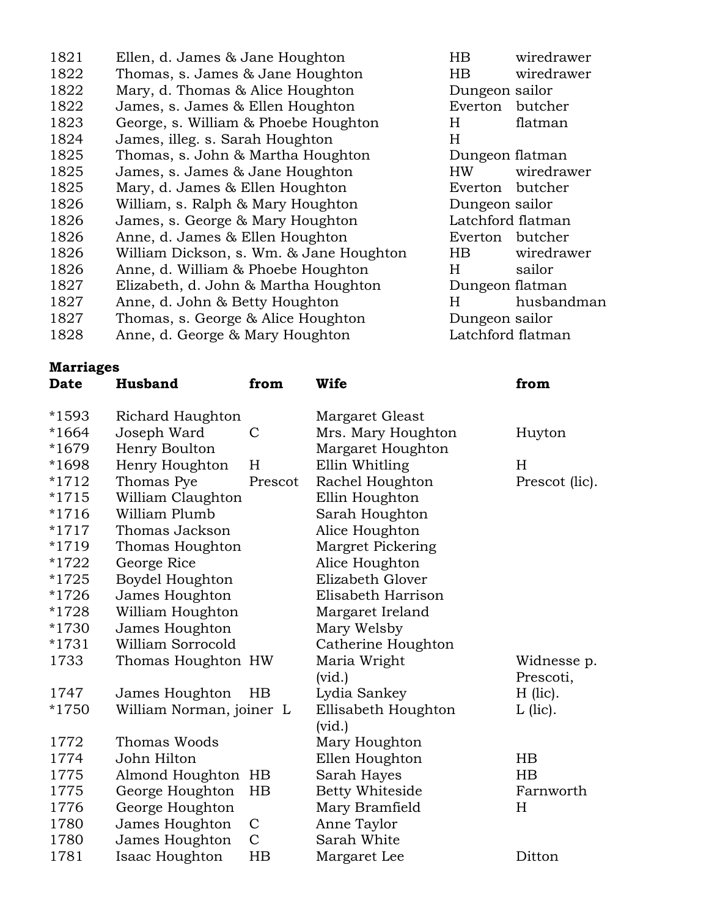| 1821 | Ellen, d. James & Jane Houghton         | HB             | wiredrav          |
|------|-----------------------------------------|----------------|-------------------|
| 1822 | Thomas, s. James & Jane Houghton        | HB.            | wiredrav          |
| 1822 | Mary, d. Thomas & Alice Houghton        | Dungeon sailor |                   |
| 1822 | James, s. James & Ellen Houghton        | Everton        | butcher           |
| 1823 | George, s. William & Phoebe Houghton    | H              | flatman           |
| 1824 | James, illeg. s. Sarah Houghton         | H              |                   |
| 1825 | Thomas, s. John & Martha Houghton       |                | Dungeon flatman   |
| 1825 | James, s. James & Jane Houghton         | HW.            | wiredray          |
| 1825 | Mary, d. James & Ellen Houghton         | Everton        | butcher           |
| 1826 | William, s. Ralph & Mary Houghton       | Dungeon sailor |                   |
| 1826 | James, s. George & Mary Houghton        |                | Latchford flatman |
| 1826 | Anne, d. James & Ellen Houghton         | Everton        | butcher           |
| 1826 | William Dickson, s. Wm. & Jane Houghton | $_{\rm HB}$    | wiredrav          |
| 1826 | Anne, d. William & Phoebe Houghton      | H.             | sailor            |
| 1827 | Elizabeth, d. John & Martha Houghton    |                | Dungeon flatman   |
| 1827 | Anne, d. John & Betty Houghton          | H.             | husband           |
| 1827 | Thomas, s. George & Alice Houghton      | Dungeon sailor |                   |
| 1828 | Anne, d. George & Mary Houghton         |                | Latchford flatman |

HB wiredrawer HB wiredrawer Dungeon sailor Everton butcher Dungeon flatman HW wiredrawer Everton butcher Dungeon sailor Latchford flatman Everton butcher n HB wiredrawer Dungeon flatman H husbandman Dungeon sailor

## **Marriages**

| <b>Date</b> | <b>Husband</b>           | from        | Wife                   | from           |
|-------------|--------------------------|-------------|------------------------|----------------|
| *1593       | Richard Haughton         |             | Margaret Gleast        |                |
| $*1664$     | Joseph Ward              | C           | Mrs. Mary Houghton     | Huyton         |
| *1679       | Henry Boulton            |             | Margaret Houghton      |                |
| *1698       | Henry Houghton           | H           | Ellin Whitling         | H              |
| *1712       | Thomas Pye               | Prescot     | Rachel Houghton        | Prescot (lic). |
| $*1715$     | William Claughton        |             | Ellin Houghton         |                |
| $*1716$     | William Plumb            |             | Sarah Houghton         |                |
| $*1717$     | Thomas Jackson           |             | Alice Houghton         |                |
| *1719       | Thomas Houghton          |             | Margret Pickering      |                |
| *1722       | George Rice              |             | Alice Houghton         |                |
| *1725       | Boydel Houghton          |             | Elizabeth Glover       |                |
| *1726       | James Houghton           |             | Elisabeth Harrison     |                |
| *1728       | William Houghton         |             | Margaret Ireland       |                |
| *1730       | James Houghton           |             | Mary Welsby            |                |
| $*1731$     | William Sorrocold        |             | Catherine Houghton     |                |
| 1733        | Thomas Houghton HW       |             | Maria Wright           | Widnesse p.    |
|             |                          |             | $(\text{vid.})$        | Prescoti,      |
| 1747        | James Houghton           | $_{\rm HB}$ | Lydia Sankey           | $H$ (lic).     |
| *1750       | William Norman, joiner L |             | Ellisabeth Houghton    | $L$ (lic).     |
|             |                          |             | $(\text{vid.})$        |                |
| 1772        | Thomas Woods             |             | Mary Houghton          |                |
| 1774        | John Hilton              |             | Ellen Houghton         | $_{\rm HB}$    |
| 1775        | Almond Houghton HB       |             | Sarah Hayes            | $_{\rm HB}$    |
| 1775        | George Houghton          | HB          | <b>Betty Whiteside</b> | Farnworth      |

1776 George Houghton Mary Bramfield H

1780 James Houghton C Anne Taylor 1780 James Houghton C Sarah White

1781 Isaac Houghton HB Margaret Lee Ditton